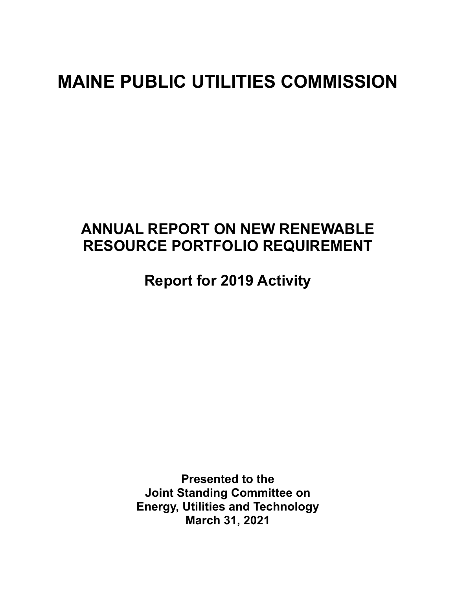# **MAINE PUBLIC UTILITIES COMMISSION**

# **ANNUAL REPORT ON NEW RENEWABLE RESOURCE PORTFOLIO REQUIREMENT**

**Report for 2019 Activity** 

**Presented to the Joint Standing Committee on Energy, Utilities and Technology March 31, 2021**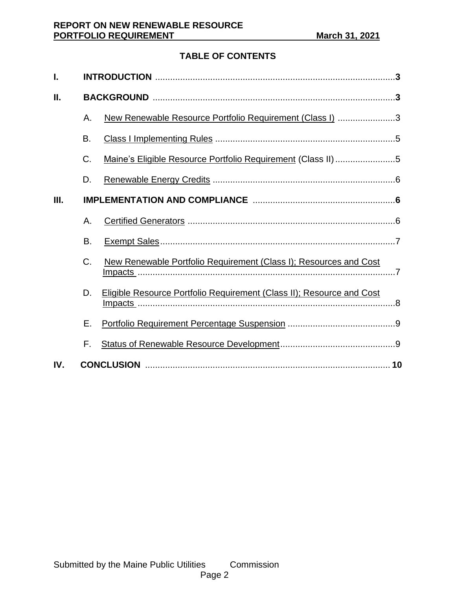# **TABLE OF CONTENTS**

| I.  |    |                                                                              |  |  |
|-----|----|------------------------------------------------------------------------------|--|--|
| Ш.  |    |                                                                              |  |  |
|     | Α. | New Renewable Resource Portfolio Requirement (Class I) 3                     |  |  |
|     | Β. |                                                                              |  |  |
|     | C. | Maine's Eligible Resource Portfolio Requirement (Class II)5                  |  |  |
|     | D. |                                                                              |  |  |
| Ш.  |    |                                                                              |  |  |
|     | Α. |                                                                              |  |  |
|     | Β. |                                                                              |  |  |
|     | C. | New Renewable Portfolio Requirement (Class I); Resources and Cost            |  |  |
|     | D. | <b>Eligible Resource Portfolio Requirement (Class II); Resource and Cost</b> |  |  |
|     | Ε. |                                                                              |  |  |
|     | F. |                                                                              |  |  |
| IV. |    |                                                                              |  |  |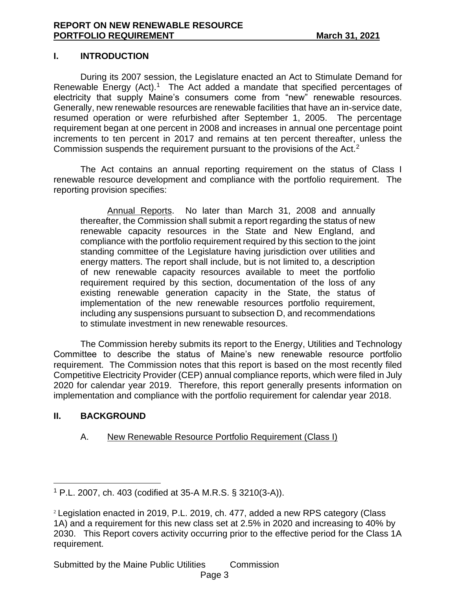#### **I. INTRODUCTION**

During its 2007 session, the Legislature enacted an Act to Stimulate Demand for Renewable Energy  $(Act)$ .<sup>1</sup> The Act added a mandate that specified percentages of electricity that supply Maine's consumers come from "new" renewable resources. Generally, new renewable resources are renewable facilities that have an in-service date, resumed operation or were refurbished after September 1, 2005. The percentage requirement began at one percent in 2008 and increases in annual one percentage point increments to ten percent in 2017 and remains at ten percent thereafter, unless the Commission suspends the requirement pursuant to the provisions of the Act. $2$ 

The Act contains an annual reporting requirement on the status of Class I renewable resource development and compliance with the portfolio requirement. The reporting provision specifies:

Annual Reports. No later than March 31, 2008 and annually thereafter, the Commission shall submit a report regarding the status of new renewable capacity resources in the State and New England, and compliance with the portfolio requirement required by this section to the joint standing committee of the Legislature having jurisdiction over utilities and energy matters. The report shall include, but is not limited to, a description of new renewable capacity resources available to meet the portfolio requirement required by this section, documentation of the loss of any existing renewable generation capacity in the State, the status of implementation of the new renewable resources portfolio requirement, including any suspensions pursuant to subsection D, and recommendations to stimulate investment in new renewable resources.

The Commission hereby submits its report to the Energy, Utilities and Technology Committee to describe the status of Maine's new renewable resource portfolio requirement. The Commission notes that this report is based on the most recently filed Competitive Electricity Provider (CEP) annual compliance reports, which were filed in July 2020 for calendar year 2019. Therefore, this report generally presents information on implementation and compliance with the portfolio requirement for calendar year 2018.

#### **II. BACKGROUND**

#### A. New Renewable Resource Portfolio Requirement (Class I)

<sup>1</sup> P.L. 2007, ch. 403 (codified at 35-A M.R.S. § 3210(3-A)).

<sup>2</sup> Legislation enacted in 2019, P.L. 2019, ch. 477, added a new RPS category (Class 1A) and a requirement for this new class set at 2.5% in 2020 and increasing to 40% by 2030. This Report covers activity occurring prior to the effective period for the Class 1A requirement.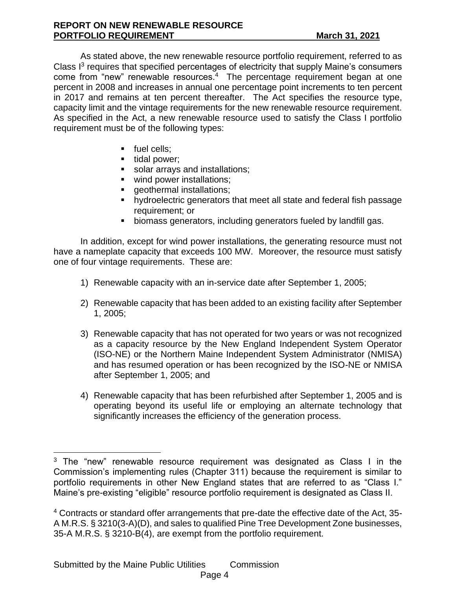As stated above, the new renewable resource portfolio requirement, referred to as Class I<sup>3</sup> requires that specified percentages of electricity that supply Maine's consumers come from "new" renewable resources.<sup>4</sup> The percentage requirement began at one percent in 2008 and increases in annual one percentage point increments to ten percent in 2017 and remains at ten percent thereafter. The Act specifies the resource type, capacity limit and the vintage requirements for the new renewable resource requirement. As specified in the Act, a new renewable resource used to satisfy the Class I portfolio requirement must be of the following types:

- **•** fuel cells:
- tidal power;
- solar arrays and installations;
- wind power installations;
- **•** geothermal installations;
- hydroelectric generators that meet all state and federal fish passage requirement; or
- biomass generators, including generators fueled by landfill gas.

In addition, except for wind power installations, the generating resource must not have a nameplate capacity that exceeds 100 MW. Moreover, the resource must satisfy one of four vintage requirements. These are:

- 1) Renewable capacity with an in-service date after September 1, 2005;
- 2) Renewable capacity that has been added to an existing facility after September 1, 2005;
- 3) Renewable capacity that has not operated for two years or was not recognized as a capacity resource by the New England Independent System Operator (ISO-NE) or the Northern Maine Independent System Administrator (NMISA) and has resumed operation or has been recognized by the ISO-NE or NMISA after September 1, 2005; and
- 4) Renewable capacity that has been refurbished after September 1, 2005 and is operating beyond its useful life or employing an alternate technology that significantly increases the efficiency of the generation process.

 $3$  The "new" renewable resource requirement was designated as Class I in the Commission's implementing rules (Chapter 311) because the requirement is similar to portfolio requirements in other New England states that are referred to as "Class I." Maine's pre-existing "eligible" resource portfolio requirement is designated as Class II.

<sup>4</sup> Contracts or standard offer arrangements that pre-date the effective date of the Act, 35- A M.R.S. § 3210(3-A)(D), and sales to qualified Pine Tree Development Zone businesses, 35-A M.R.S. § 3210-B(4), are exempt from the portfolio requirement.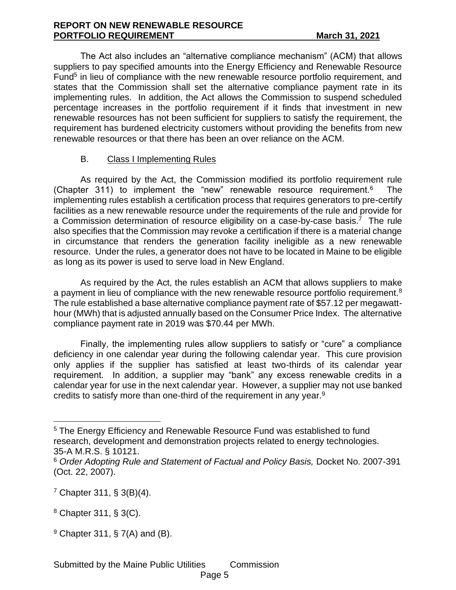#### **REPORT ON NEW RENEWABLE RESOURCE PORTFOLIO REQUIREMENT March 31, 2021**

The Act also includes an "alternative compliance mechanism" (ACM) that allows suppliers to pay specified amounts into the Energy Efficiency and Renewable Resource Fund<sup>5</sup> in lieu of compliance with the new renewable resource portfolio requirement, and states that the Commission shall set the alternative compliance payment rate in its implementing rules. In addition, the Act allows the Commission to suspend scheduled percentage increases in the portfolio requirement if it finds that investment in new renewable resources has not been sufficient for suppliers to satisfy the requirement, the requirement has burdened electricity customers without providing the benefits from new renewable resources or that there has been an over reliance on the ACM.

# B. Class I Implementing Rules

As required by the Act, the Commission modified its portfolio requirement rule (Chapter 311) to implement the "new" renewable resource requirement.<sup>6</sup> The implementing rules establish a certification process that requires generators to pre-certify facilities as a new renewable resource under the requirements of the rule and provide for a Commission determination of resource eligibility on a case-by-case basis.<sup>7</sup> The rule also specifies that the Commission may revoke a certification if there is a material change in circumstance that renders the generation facility ineligible as a new renewable resource. Under the rules, a generator does not have to be located in Maine to be eligible as long as its power is used to serve load in New England.

As required by the Act, the rules establish an ACM that allows suppliers to make a payment in lieu of compliance with the new renewable resource portfolio requirement.<sup>8</sup> The rule established a base alternative compliance payment rate of \$57.12 per megawatthour (MWh) that is adjusted annually based on the Consumer Price Index. The alternative compliance payment rate in 2019 was \$70.44 per MWh.

Finally, the implementing rules allow suppliers to satisfy or "cure" a compliance deficiency in one calendar year during the following calendar year. This cure provision only applies if the supplier has satisfied at least two-thirds of its calendar year requirement. In addition, a supplier may "bank" any excess renewable credits in a calendar year for use in the next calendar year. However, a supplier may not use banked credits to satisfy more than one-third of the requirement in any year. $9$ 

 $9$  Chapter 311, § 7(A) and (B).

<sup>5</sup> The Energy Efficiency and Renewable Resource Fund was established to fund research, development and demonstration projects related to energy technologies. 35-A M.R.S. § 10121.

<sup>6</sup> *Order Adopting Rule and Statement of Factual and Policy Basis,* Docket No. 2007-391 (Oct. 22, 2007).

<sup>7</sup> Chapter 311, § 3(B)(4).

<sup>8</sup> Chapter 311, § 3(C).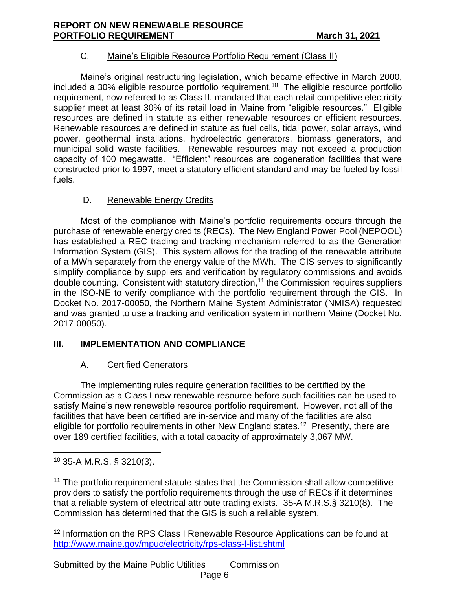### C. Maine's Eligible Resource Portfolio Requirement (Class II)

Maine's original restructuring legislation, which became effective in March 2000, included a 30% eligible resource portfolio requirement.<sup>10</sup> The eligible resource portfolio requirement, now referred to as Class II, mandated that each retail competitive electricity supplier meet at least 30% of its retail load in Maine from "eligible resources." Eligible resources are defined in statute as either renewable resources or efficient resources. Renewable resources are defined in statute as fuel cells, tidal power, solar arrays, wind power, geothermal installations, hydroelectric generators, biomass generators, and municipal solid waste facilities. Renewable resources may not exceed a production capacity of 100 megawatts. "Efficient" resources are cogeneration facilities that were constructed prior to 1997, meet a statutory efficient standard and may be fueled by fossil fuels.

# D. Renewable Energy Credits

Most of the compliance with Maine's portfolio requirements occurs through the purchase of renewable energy credits (RECs). The New England Power Pool (NEPOOL) has established a REC trading and tracking mechanism referred to as the Generation Information System (GIS). This system allows for the trading of the renewable attribute of a MWh separately from the energy value of the MWh. The GIS serves to significantly simplify compliance by suppliers and verification by regulatory commissions and avoids double counting. Consistent with statutory direction,<sup>11</sup> the Commission requires suppliers in the ISO-NE to verify compliance with the portfolio requirement through the GIS. In Docket No. 2017-00050, the Northern Maine System Administrator (NMISA) requested and was granted to use a tracking and verification system in northern Maine (Docket No. 2017-00050).

# **III. IMPLEMENTATION AND COMPLIANCE**

### A. Certified Generators

The implementing rules require generation facilities to be certified by the Commission as a Class I new renewable resource before such facilities can be used to satisfy Maine's new renewable resource portfolio requirement. However, not all of the facilities that have been certified are in-service and many of the facilities are also eligible for portfolio requirements in other New England states.<sup>12</sup> Presently, there are over 189 certified facilities, with a total capacity of approximately 3,067 MW.

<sup>11</sup> The portfolio requirement statute states that the Commission shall allow competitive providers to satisfy the portfolio requirements through the use of RECs if it determines that a reliable system of electrical attribute trading exists. 35-A M.R.S.§ 3210(8). The Commission has determined that the GIS is such a reliable system.

<sup>12</sup> Information on the RPS Class I Renewable Resource Applications can be found at <http://www.maine.gov/mpuc/electricity/rps-class-I-list.shtml>

Submitted by the Maine Public Utilities Commission Page 6

 $10$  35-A M.R.S. § 3210(3).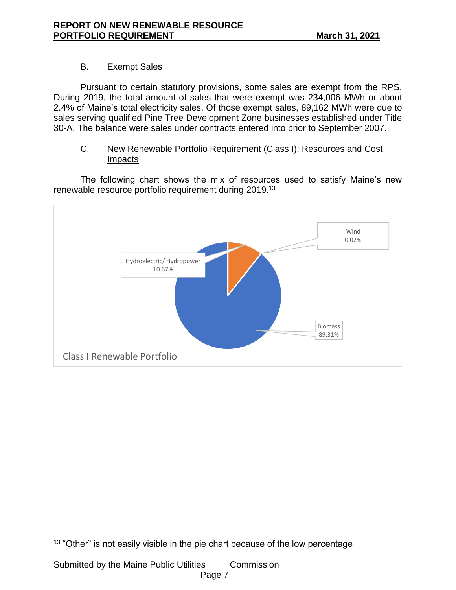# B. Exempt Sales

Pursuant to certain statutory provisions, some sales are exempt from the RPS. During 2019, the total amount of sales that were exempt was 234,006 MWh or about 2.4% of Maine's total electricity sales. Of those exempt sales, 89,162 MWh were due to sales serving qualified Pine Tree Development Zone businesses established under Title 30-A. The balance were sales under contracts entered into prior to September 2007.

#### C. New Renewable Portfolio Requirement (Class I); Resources and Cost Impacts

The following chart shows the mix of resources used to satisfy Maine's new renewable resource portfolio requirement during 2019.<sup>13</sup>



<sup>&</sup>lt;sup>13</sup> "Other" is not easily visible in the pie chart because of the low percentage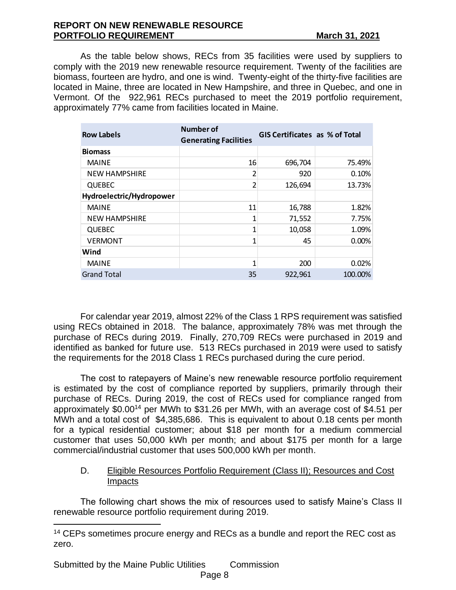#### **REPORT ON NEW RENEWABLE RESOURCE PORTFOLIO REQUIREMENT March 31, 2021**

As the table below shows, RECs from 35 facilities were used by suppliers to comply with the 2019 new renewable resource requirement. Twenty of the facilities are biomass, fourteen are hydro, and one is wind. Twenty-eight of the thirty-five facilities are located in Maine, three are located in New Hampshire, and three in Quebec, and one in Vermont. Of the 922,961 RECs purchased to meet the 2019 portfolio requirement, approximately 77% came from facilities located in Maine.

| <b>Row Labels</b>        | Number of<br><b>Generating Facilities</b> | <b>GIS Certificates as % of Total</b> |         |
|--------------------------|-------------------------------------------|---------------------------------------|---------|
| <b>Biomass</b>           |                                           |                                       |         |
| <b>MAINE</b>             | 16                                        | 696,704                               | 75.49%  |
| <b>NEW HAMPSHIRE</b>     | 2                                         | 920                                   | 0.10%   |
| <b>QUEBEC</b>            | $\overline{2}$                            | 126,694                               | 13.73%  |
| Hydroelectric/Hydropower |                                           |                                       |         |
| <b>MAINE</b>             | 11                                        | 16,788                                | 1.82%   |
| <b>NEW HAMPSHIRE</b>     | 1                                         | 71,552                                | 7.75%   |
| <b>QUEBEC</b>            | 1                                         | 10,058                                | 1.09%   |
| <b>VERMONT</b>           | 1                                         | 45                                    | 0.00%   |
| Wind                     |                                           |                                       |         |
| <b>MAINE</b>             | 1                                         | 200                                   | 0.02%   |
| <b>Grand Total</b>       | 35                                        | 922,961                               | 100.00% |

For calendar year 2019, almost 22% of the Class 1 RPS requirement was satisfied using RECs obtained in 2018. The balance, approximately 78% was met through the purchase of RECs during 2019. Finally, 270,709 RECs were purchased in 2019 and identified as banked for future use. 513 RECs purchased in 2019 were used to satisfy the requirements for the 2018 Class 1 RECs purchased during the cure period.

The cost to ratepayers of Maine's new renewable resource portfolio requirement is estimated by the cost of compliance reported by suppliers, primarily through their purchase of RECs. During 2019, the cost of RECs used for compliance ranged from approximately \$0.00<sup>14</sup> per MWh to \$31.26 per MWh, with an average cost of \$4.51 per MWh and a total cost of \$4,385,686. This is equivalent to about 0.18 cents per month for a typical residential customer; about \$18 per month for a medium commercial customer that uses 50,000 kWh per month; and about \$175 per month for a large commercial/industrial customer that uses 500,000 kWh per month.

### D. Eligible Resources Portfolio Requirement (Class II); Resources and Cost Impacts

The following chart shows the mix of resources used to satisfy Maine's Class II renewable resource portfolio requirement during 2019.

Submitted by the Maine Public Utilities Commission

<sup>&</sup>lt;sup>14</sup> CEPs sometimes procure energy and RECs as a bundle and report the REC cost as zero.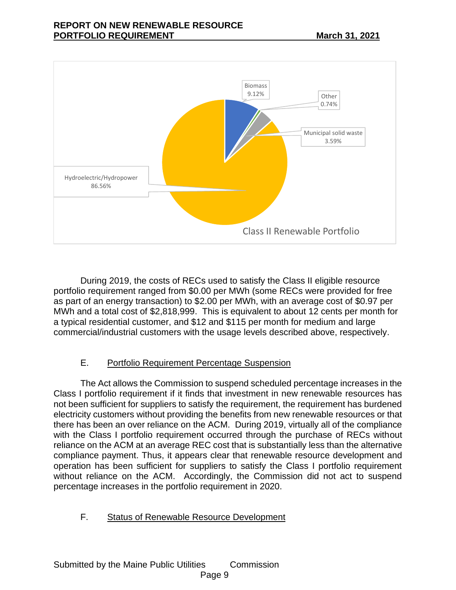

During 2019, the costs of RECs used to satisfy the Class II eligible resource portfolio requirement ranged from \$0.00 per MWh (some RECs were provided for free as part of an energy transaction) to \$2.00 per MWh, with an average cost of \$0.97 per MWh and a total cost of \$2,818,999. This is equivalent to about 12 cents per month for a typical residential customer, and \$12 and \$115 per month for medium and large commercial/industrial customers with the usage levels described above, respectively.

# E. Portfolio Requirement Percentage Suspension

The Act allows the Commission to suspend scheduled percentage increases in the Class I portfolio requirement if it finds that investment in new renewable resources has not been sufficient for suppliers to satisfy the requirement, the requirement has burdened electricity customers without providing the benefits from new renewable resources or that there has been an over reliance on the ACM. During 2019, virtually all of the compliance with the Class I portfolio requirement occurred through the purchase of RECs without reliance on the ACM at an average REC cost that is substantially less than the alternative compliance payment. Thus, it appears clear that renewable resource development and operation has been sufficient for suppliers to satisfy the Class I portfolio requirement without reliance on the ACM. Accordingly, the Commission did not act to suspend percentage increases in the portfolio requirement in 2020.

### F. Status of Renewable Resource Development